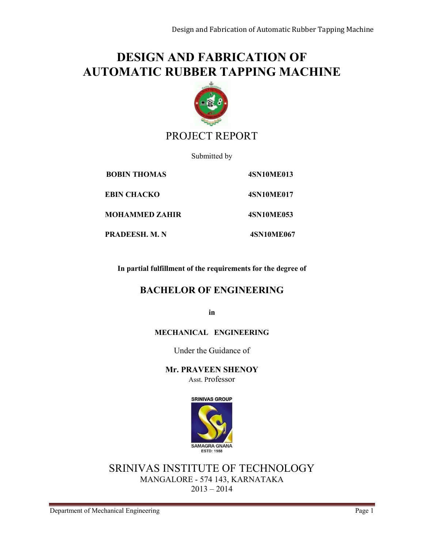# **DESIGN AND FABRICATION OF AUTOMATIC RUBBER TAPPING MACHINE**



## PROJECT REPORT

Submitted by

 **BOBIN THOMAS 4SN10ME013 EBIN CHACKO 4SN10ME017 MOHAMMED ZAHIR 4SN10ME053 PRADEESH. M. N 4SN10ME067**

**In partial fulfillment of the requirements for the degree of** 

#### **BACHELOR OF ENGINEERING**

**in**

#### **MECHANICAL ENGINEERING**

Under the Guidance of

**Mr. PRAVEEN SHENOY** Asst. Professor



SRINIVAS INSTITUTE OF TECHNOLOGY MANGALORE - 574 143, KARNATAKA  $2013 - 2014$ 

Department of Mechanical Engineering Page 1